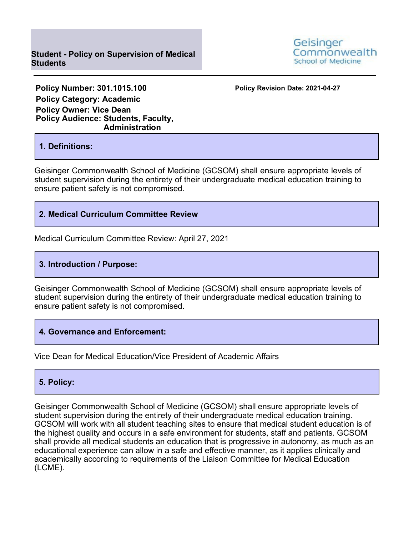

**Policy Number: 301.1015.100 Policy Revision Date: 2021-04-27 Policy Category: Academic Policy Owner: Vice Dean Policy Audience: Students, Faculty, Administration**

### **1. Definitions:**

Geisinger Commonwealth School of Medicine (GCSOM) shall ensure appropriate levels of student supervision during the entirety of their undergraduate medical education training to ensure patient safety is not compromised.

### **2. Medical Curriculum Committee Review**

Medical Curriculum Committee Review: April 27, 2021

#### **3. Introduction / Purpose:**

Geisinger Commonwealth School of Medicine (GCSOM) shall ensure appropriate levels of student supervision during the entirety of their undergraduate medical education training to ensure patient safety is not compromised.

## **4. Governance and Enforcement:**

Vice Dean for Medical Education/Vice President of Academic Affairs

## **5. Policy:**

Geisinger Commonwealth School of Medicine (GCSOM) shall ensure appropriate levels of student supervision during the entirety of their undergraduate medical education training. GCSOM will work with all student teaching sites to ensure that medical student education is of the highest quality and occurs in a safe environment for students, staff and patients. GCSOM shall provide all medical students an education that is progressive in autonomy, as much as an educational experience can allow in a safe and effective manner, as it applies clinically and academically according to requirements of the Liaison Committee for Medical Education (LCME).